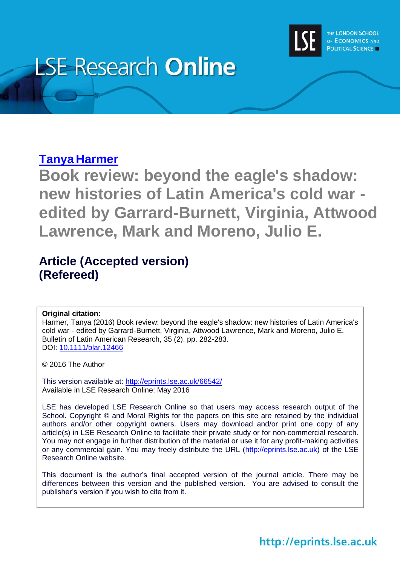

# **LSE Research Online**

## **Tanya [Harmer](http://www.lse.ac.uk/researchAndExpertise/Experts/profile.aspx?KeyValue=t.harmer@lse.ac.uk)**

**Book review: beyond the eagle's shadow: new histories of Latin America's cold war edited by Garrard-Burnett, Virginia, Attwood Lawrence, Mark and Moreno, Julio E.**

## **Article (Accepted version) (Refereed)**

#### **Original citation:**

Harmer, Tanya (2016) Book review: beyond the eagle's shadow: new histories of Latin America's cold war - edited by Garrard-Burnett, Virginia, Attwood Lawrence, Mark and Moreno, Julio E. Bulletin of Latin American Research, 35 (2). pp. 282-283. DOI: [10.1111/blar.12466](http://dx.doi.org/10.1111/blar.12466)

© 2016 The Author

This version available at:<http://eprints.lse.ac.uk/66542/> Available in LSE Research Online: May 2016

LSE has developed LSE Research Online so that users may access research output of the School. Copyright © and Moral Rights for the papers on this site are retained by the individual authors and/or other copyright owners. Users may download and/or print one copy of any article(s) in LSE Research Online to facilitate their private study or for non-commercial research. You may not engage in further distribution of the material or use it for any profit-making activities or any commercial gain. You may freely distribute the URL (http://eprints.lse.ac.uk) of the LSE Research Online website.

This document is the author's final accepted version of the journal article. There may be differences between this version and the published version. You are advised to consult the publisher's version if you wish to cite from it.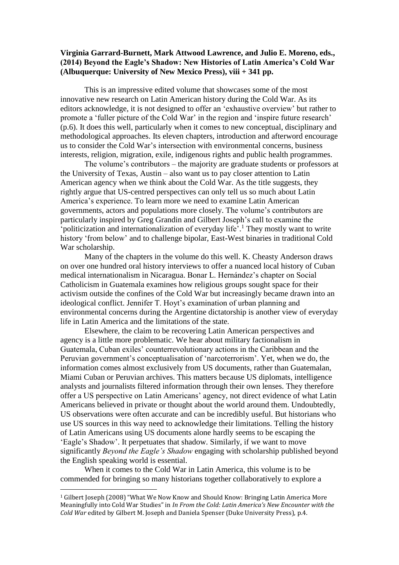#### **Virginia Garrard-Burnett, Mark Attwood Lawrence, and Julio E. Moreno, eds., (2014) Beyond the Eagle's Shadow: New Histories of Latin America's Cold War (Albuquerque: University of New Mexico Press), viii + 341 pp.**

This is an impressive edited volume that showcases some of the most innovative new research on Latin American history during the Cold War. As its editors acknowledge, it is not designed to offer an 'exhaustive overview' but rather to promote a 'fuller picture of the Cold War' in the region and 'inspire future research' (p.6). It does this well, particularly when it comes to new conceptual, disciplinary and methodological approaches. Its eleven chapters, introduction and afterword encourage us to consider the Cold War's intersection with environmental concerns, business interests, religion, migration, exile, indigenous rights and public health programmes.

The volume's contributors – the majority are graduate students or professors at the University of Texas, Austin – also want us to pay closer attention to Latin American agency when we think about the Cold War. As the title suggests, they rightly argue that US-centred perspectives can only tell us so much about Latin America's experience. To learn more we need to examine Latin American governments, actors and populations more closely. The volume's contributors are particularly inspired by Greg Grandin and Gilbert Joseph's call to examine the 'politicization and internationalization of everyday life'. <sup>1</sup> They mostly want to write history 'from below' and to challenge bipolar, East-West binaries in traditional Cold War scholarship.

Many of the chapters in the volume do this well. K. Cheasty Anderson draws on over one hundred oral history interviews to offer a nuanced local history of Cuban medical internationalism in Nicaragua. Bonar L. Hernández's chapter on Social Catholicism in Guatemala examines how religious groups sought space for their activism outside the confines of the Cold War but increasingly became drawn into an ideological conflict. Jennifer T. Hoyt's examination of urban planning and environmental concerns during the Argentine dictatorship is another view of everyday life in Latin America and the limitations of the state.

Elsewhere, the claim to be recovering Latin American perspectives and agency is a little more problematic. We hear about military factionalism in Guatemala, Cuban exiles' counterrevolutionary actions in the Caribbean and the Peruvian government's conceptualisation of 'narcoterrorism'. Yet, when we do, the information comes almost exclusively from US documents, rather than Guatemalan, Miami Cuban or Peruvian archives. This matters because US diplomats, intelligence analysts and journalists filtered information through their own lenses. They therefore offer a US perspective on Latin Americans' agency, not direct evidence of what Latin Americans believed in private or thought about the world around them. Undoubtedly, US observations were often accurate and can be incredibly useful. But historians who use US sources in this way need to acknowledge their limitations. Telling the history of Latin Americans using US documents alone hardly seems to be escaping the 'Eagle's Shadow'. It perpetuates that shadow. Similarly, if we want to move significantly *Beyond the Eagle's Shadow* engaging with scholarship published beyond the English speaking world is essential.

When it comes to the Cold War in Latin America, this volume is to be commended for bringing so many historians together collaboratively to explore a

 $\overline{\phantom{a}}$ 

<sup>1</sup> Gilbert Joseph (2008) "What We Now Know and Should Know: Bringing Latin America More Meaningfully into Cold War Studies" in *In From the Cold: Latin America's New Encounter with the Cold War* edited by Gilbert M. Joseph and Daniela Spenser (Duke University Press), p.4.